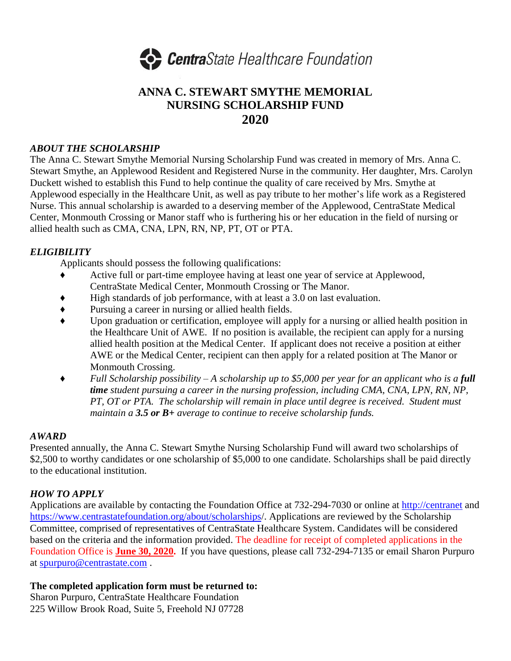

## **ANNA C. STEWART SMYTHE MEMORIAL NURSING SCHOLARSHIP FUND 2020**

#### *ABOUT THE SCHOLARSHIP*

The Anna C. Stewart Smythe Memorial Nursing Scholarship Fund was created in memory of Mrs. Anna C. Stewart Smythe, an Applewood Resident and Registered Nurse in the community. Her daughter, Mrs. Carolyn Duckett wished to establish this Fund to help continue the quality of care received by Mrs. Smythe at Applewood especially in the Healthcare Unit, as well as pay tribute to her mother's life work as a Registered Nurse. This annual scholarship is awarded to a deserving member of the Applewood, CentraState Medical Center, Monmouth Crossing or Manor staff who is furthering his or her education in the field of nursing or allied health such as CMA, CNA, LPN, RN, NP, PT, OT or PTA.

### *ELIGIBILITY*

Applicants should possess the following qualifications:

- ♦ Active full or part-time employee having at least one year of service at Applewood, CentraState Medical Center, Monmouth Crossing or The Manor.
- ♦ High standards of job performance, with at least a 3.0 on last evaluation.
- ♦ Pursuing a career in nursing or allied health fields.
- ♦ Upon graduation or certification, employee will apply for a nursing or allied health position in the Healthcare Unit of AWE. If no position is available, the recipient can apply for a nursing allied health position at the Medical Center. If applicant does not receive a position at either AWE or the Medical Center, recipient can then apply for a related position at The Manor or Monmouth Crossing.
- ♦ *Full Scholarship possibility – A scholarship up to \$5,000 per year for an applicant who is a full time student pursuing a career in the nursing profession, including CMA, CNA, LPN, RN, NP, PT, OT or PTA. The scholarship will remain in place until degree is received. Student must maintain a 3.5 or B+ average to continue to receive scholarship funds.*

#### *AWARD*

Presented annually, the Anna C. Stewart Smythe Nursing Scholarship Fund will award two scholarships of \$2,500 to worthy candidates or one scholarship of \$5,000 to one candidate. Scholarships shall be paid directly to the educational institution.

#### *HOW TO APPLY*

Applications are available by contacting the Foundation Office at 732-294-7030 or online at [http://centranet](http://centranet/) and <https://www.centrastatefoundation.org/about/scholarships/>. Applications are reviewed by the Scholarship Committee, comprised of representatives of CentraState Healthcare System. Candidates will be considered based on the criteria and the information provided. The deadline for receipt of completed applications in the Foundation Office is **June 30, 2020.** If you have questions, please call 732-294-7135 or email Sharon Purpuro at [spurpuro@centrastate.com](mailto:spurpuro@centrastate.com) .

#### **The completed application form must be returned to:**

Sharon Purpuro, CentraState Healthcare Foundation 225 Willow Brook Road, Suite 5, Freehold NJ 07728